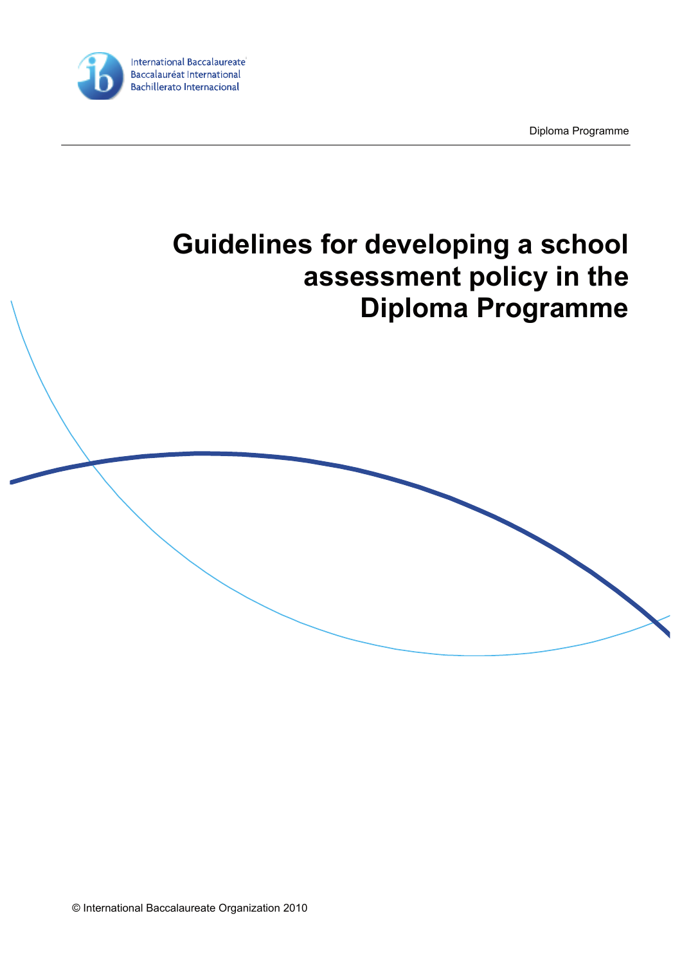

Diploma Programme

# **Guidelines for developing a school assessment policy in the Diploma Programme**

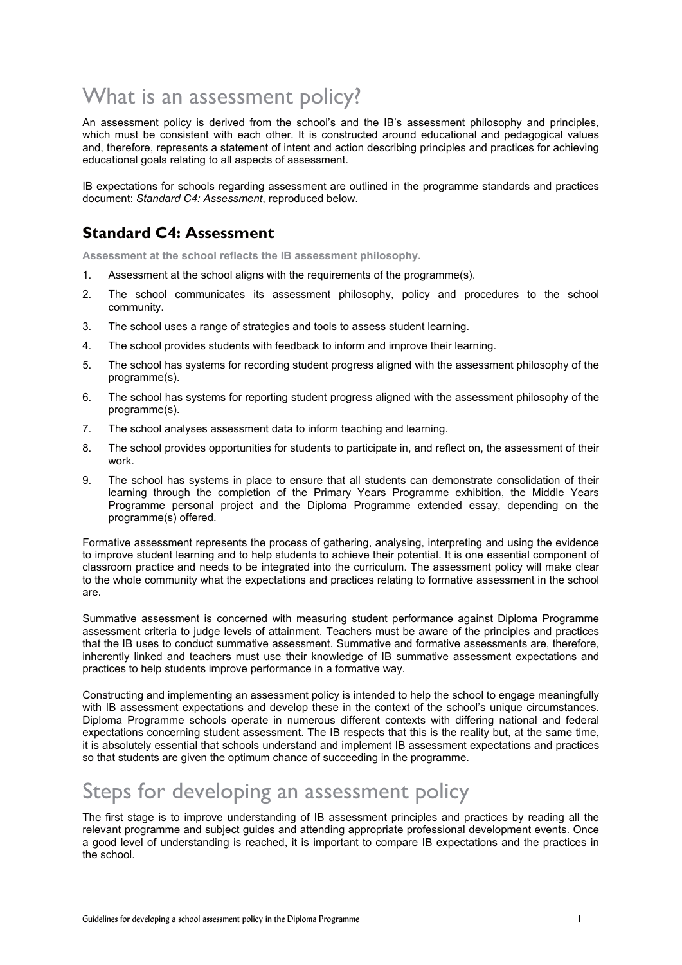## What is an assessment policy?

An assessment policy is derived from the school's and the IB's assessment philosophy and principles. which must be consistent with each other. It is constructed around educational and pedagogical values and, therefore, represents a statement of intent and action describing principles and practices for achieving educational goals relating to all aspects of assessment.

IB expectations for schools regarding assessment are outlined in the programme standards and practices document: *Standard C4: Assessment*, reproduced below.

#### **Standard C4: Assessment**

**Assessment at the school reflects the IB assessment philosophy.** 

- 1. Assessment at the school aligns with the requirements of the programme(s).
- 2. The school communicates its assessment philosophy, policy and procedures to the school community.
- 3. The school uses a range of strategies and tools to assess student learning.
- 4. The school provides students with feedback to inform and improve their learning.
- 5. The school has systems for recording student progress aligned with the assessment philosophy of the programme(s).
- 6. The school has systems for reporting student progress aligned with the assessment philosophy of the programme(s).
- 7. The school analyses assessment data to inform teaching and learning.
- 8. The school provides opportunities for students to participate in, and reflect on, the assessment of their work.
- 9. The school has systems in place to ensure that all students can demonstrate consolidation of their learning through the completion of the Primary Years Programme exhibition, the Middle Years Programme personal project and the Diploma Programme extended essay, depending on the programme(s) offered.

Formative assessment represents the process of gathering, analysing, interpreting and using the evidence to improve student learning and to help students to achieve their potential. It is one essential component of classroom practice and needs to be integrated into the curriculum. The assessment policy will make clear to the whole community what the expectations and practices relating to formative assessment in the school are.

Summative assessment is concerned with measuring student performance against Diploma Programme assessment criteria to judge levels of attainment. Teachers must be aware of the principles and practices that the IB uses to conduct summative assessment. Summative and formative assessments are, therefore, inherently linked and teachers must use their knowledge of IB summative assessment expectations and practices to help students improve performance in a formative way.

Constructing and implementing an assessment policy is intended to help the school to engage meaningfully with IB assessment expectations and develop these in the context of the school's unique circumstances. Diploma Programme schools operate in numerous different contexts with differing national and federal expectations concerning student assessment. The IB respects that this is the reality but, at the same time, it is absolutely essential that schools understand and implement IB assessment expectations and practices so that students are given the optimum chance of succeeding in the programme.

### Steps for developing an assessment policy

The first stage is to improve understanding of IB assessment principles and practices by reading all the relevant programme and subject guides and attending appropriate professional development events. Once a good level of understanding is reached, it is important to compare IB expectations and the practices in the school.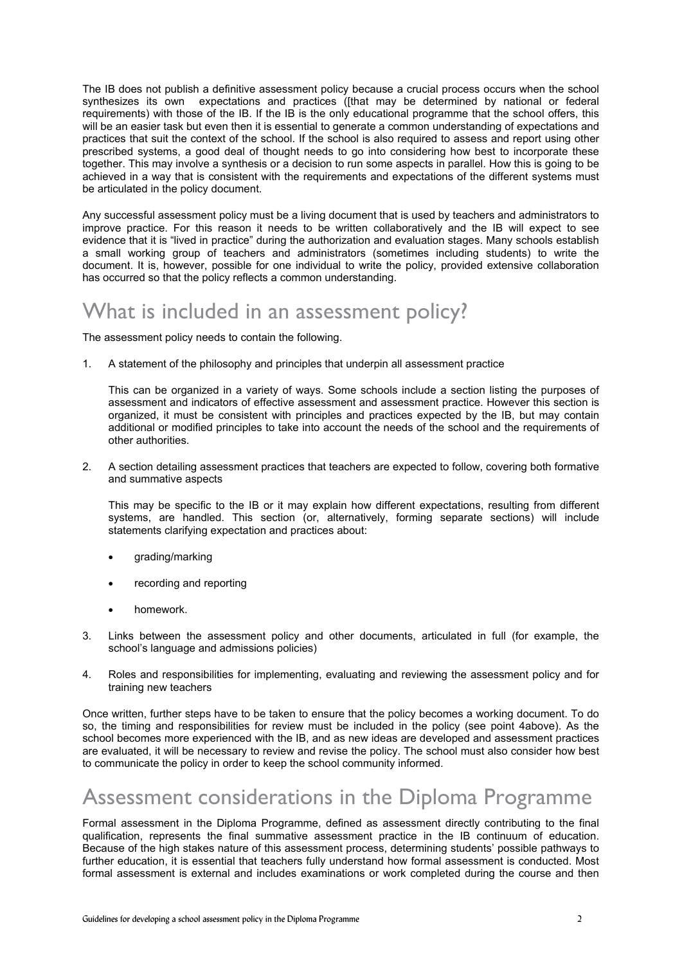The IB does not publish a definitive assessment policy because a crucial process occurs when the school synthesizes its own expectations and practices ([that may be determined by national or federal requirements) with those of the IB. If the IB is the only educational programme that the school offers, this will be an easier task but even then it is essential to generate a common understanding of expectations and practices that suit the context of the school. If the school is also required to assess and report using other prescribed systems, a good deal of thought needs to go into considering how best to incorporate these together. This may involve a synthesis or a decision to run some aspects in parallel. How this is going to be achieved in a way that is consistent with the requirements and expectations of the different systems must be articulated in the policy document.

Any successful assessment policy must be a living document that is used by teachers and administrators to improve practice. For this reason it needs to be written collaboratively and the IB will expect to see evidence that it is "lived in practice" during the authorization and evaluation stages. Many schools establish a small working group of teachers and administrators (sometimes including students) to write the document. It is, however, possible for one individual to write the policy, provided extensive collaboration has occurred so that the policy reflects a common understanding.

#### What is included in an assessment policy?

The assessment policy needs to contain the following.

1. A statement of the philosophy and principles that underpin all assessment practice

This can be organized in a variety of ways. Some schools include a section listing the purposes of assessment and indicators of effective assessment and assessment practice. However this section is organized, it must be consistent with principles and practices expected by the IB, but may contain additional or modified principles to take into account the needs of the school and the requirements of other authorities.

2. A section detailing assessment practices that teachers are expected to follow, covering both formative and summative aspects

This may be specific to the IB or it may explain how different expectations, resulting from different systems, are handled. This section (or, alternatively, forming separate sections) will include statements clarifying expectation and practices about:

- grading/marking
- recording and reporting
- homework.
- 3. Links between the assessment policy and other documents, articulated in full (for example, the school's language and admissions policies)
- 4. Roles and responsibilities for implementing, evaluating and reviewing the assessment policy and for training new teachers

Once written, further steps have to be taken to ensure that the policy becomes a working document. To do so, the timing and responsibilities for review must be included in the policy (see point 4above). As the school becomes more experienced with the IB, and as new ideas are developed and assessment practices are evaluated, it will be necessary to review and revise the policy. The school must also consider how best to communicate the policy in order to keep the school community informed.

### Assessment considerations in the Diploma Programme

Formal assessment in the Diploma Programme, defined as assessment directly contributing to the final qualification, represents the final summative assessment practice in the IB continuum of education. Because of the high stakes nature of this assessment process, determining students' possible pathways to further education, it is essential that teachers fully understand how formal assessment is conducted. Most formal assessment is external and includes examinations or work completed during the course and then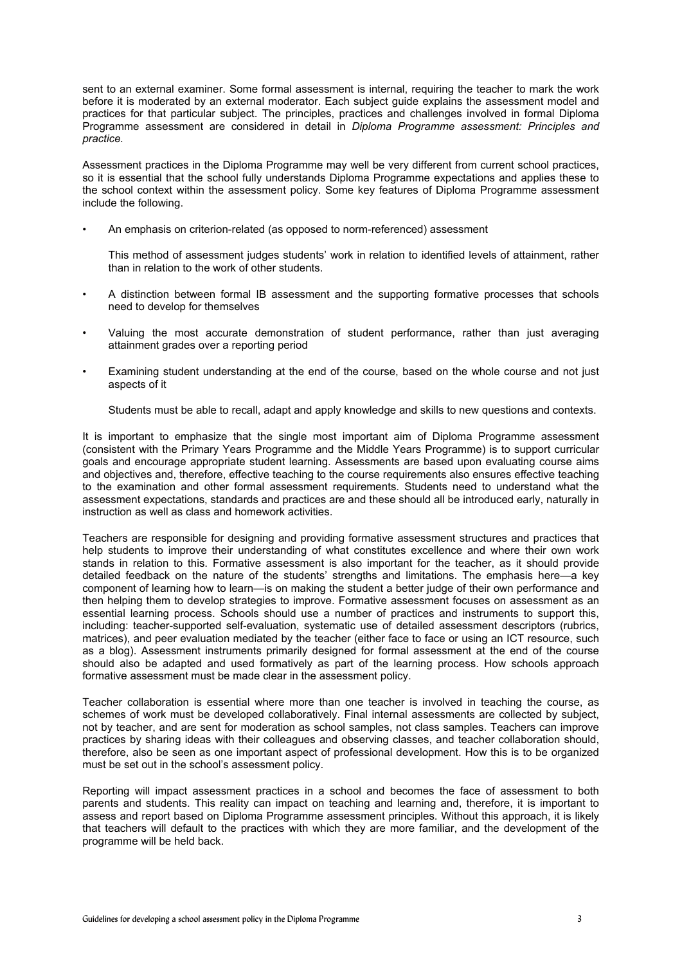sent to an external examiner. Some formal assessment is internal, requiring the teacher to mark the work before it is moderated by an external moderator. Each subject guide explains the assessment model and practices for that particular subject. The principles, practices and challenges involved in formal Diploma Programme assessment are considered in detail in *Diploma Programme assessment: Principles and practice.*

Assessment practices in the Diploma Programme may well be very different from current school practices, so it is essential that the school fully understands Diploma Programme expectations and applies these to the school context within the assessment policy. Some key features of Diploma Programme assessment include the following.

• An emphasis on criterion-related (as opposed to norm-referenced) assessment

This method of assessment judges students' work in relation to identified levels of attainment, rather than in relation to the work of other students.

- A distinction between formal IB assessment and the supporting formative processes that schools need to develop for themselves
- Valuing the most accurate demonstration of student performance, rather than just averaging attainment grades over a reporting period
- Examining student understanding at the end of the course, based on the whole course and not just aspects of it

Students must be able to recall, adapt and apply knowledge and skills to new questions and contexts.

It is important to emphasize that the single most important aim of Diploma Programme assessment (consistent with the Primary Years Programme and the Middle Years Programme) is to support curricular goals and encourage appropriate student learning. Assessments are based upon evaluating course aims and objectives and, therefore, effective teaching to the course requirements also ensures effective teaching to the examination and other formal assessment requirements. Students need to understand what the assessment expectations, standards and practices are and these should all be introduced early, naturally in instruction as well as class and homework activities.

Teachers are responsible for designing and providing formative assessment structures and practices that help students to improve their understanding of what constitutes excellence and where their own work stands in relation to this. Formative assessment is also important for the teacher, as it should provide detailed feedback on the nature of the students' strengths and limitations. The emphasis here—a key component of learning how to learn—is on making the student a better judge of their own performance and then helping them to develop strategies to improve. Formative assessment focuses on assessment as an essential learning process. Schools should use a number of practices and instruments to support this, including: teacher-supported self-evaluation, systematic use of detailed assessment descriptors (rubrics, matrices), and peer evaluation mediated by the teacher (either face to face or using an ICT resource, such as a blog). Assessment instruments primarily designed for formal assessment at the end of the course should also be adapted and used formatively as part of the learning process. How schools approach formative assessment must be made clear in the assessment policy.

Teacher collaboration is essential where more than one teacher is involved in teaching the course, as schemes of work must be developed collaboratively. Final internal assessments are collected by subject, not by teacher, and are sent for moderation as school samples, not class samples. Teachers can improve practices by sharing ideas with their colleagues and observing classes, and teacher collaboration should, therefore, also be seen as one important aspect of professional development. How this is to be organized must be set out in the school's assessment policy.

Reporting will impact assessment practices in a school and becomes the face of assessment to both parents and students. This reality can impact on teaching and learning and, therefore, it is important to assess and report based on Diploma Programme assessment principles. Without this approach, it is likely that teachers will default to the practices with which they are more familiar, and the development of the programme will be held back.